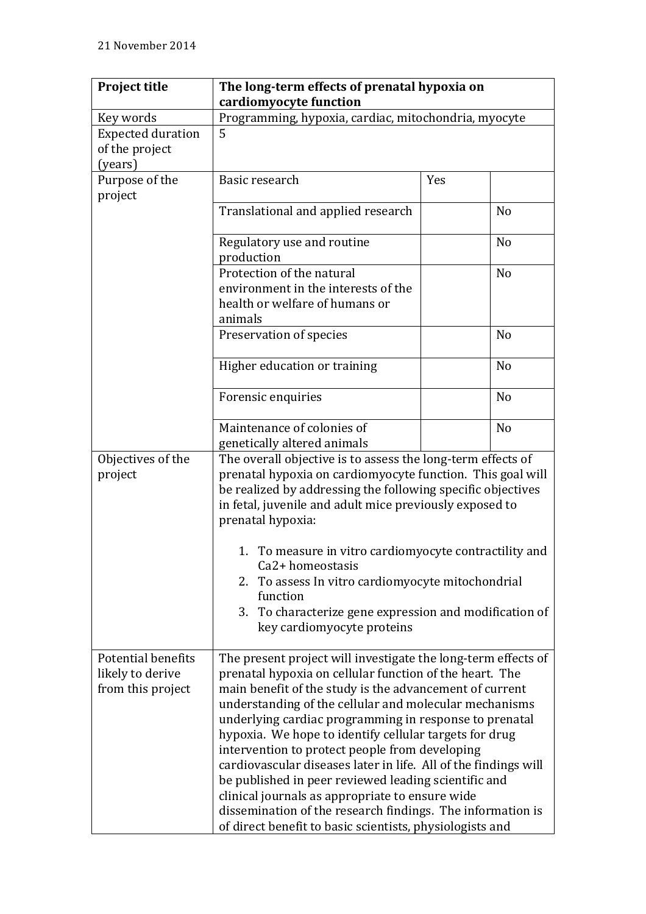| <b>Project title</b>                                               | The long-term effects of prenatal hypoxia on                                                                                                                                                                                                                                                                                                                                                                                                                                                                                                                                                                                                                                                                                |     |                |
|--------------------------------------------------------------------|-----------------------------------------------------------------------------------------------------------------------------------------------------------------------------------------------------------------------------------------------------------------------------------------------------------------------------------------------------------------------------------------------------------------------------------------------------------------------------------------------------------------------------------------------------------------------------------------------------------------------------------------------------------------------------------------------------------------------------|-----|----------------|
|                                                                    | cardiomyocyte function                                                                                                                                                                                                                                                                                                                                                                                                                                                                                                                                                                                                                                                                                                      |     |                |
| Key words                                                          | Programming, hypoxia, cardiac, mitochondria, myocyte                                                                                                                                                                                                                                                                                                                                                                                                                                                                                                                                                                                                                                                                        |     |                |
| <b>Expected duration</b>                                           | 5                                                                                                                                                                                                                                                                                                                                                                                                                                                                                                                                                                                                                                                                                                                           |     |                |
| of the project                                                     |                                                                                                                                                                                                                                                                                                                                                                                                                                                                                                                                                                                                                                                                                                                             |     |                |
| (years)                                                            |                                                                                                                                                                                                                                                                                                                                                                                                                                                                                                                                                                                                                                                                                                                             |     |                |
| Purpose of the<br>project                                          | Basic research                                                                                                                                                                                                                                                                                                                                                                                                                                                                                                                                                                                                                                                                                                              | Yes |                |
|                                                                    | Translational and applied research                                                                                                                                                                                                                                                                                                                                                                                                                                                                                                                                                                                                                                                                                          |     | N <sub>o</sub> |
|                                                                    | Regulatory use and routine<br>production                                                                                                                                                                                                                                                                                                                                                                                                                                                                                                                                                                                                                                                                                    |     | N <sub>o</sub> |
|                                                                    | Protection of the natural<br>environment in the interests of the<br>health or welfare of humans or<br>animals                                                                                                                                                                                                                                                                                                                                                                                                                                                                                                                                                                                                               |     | N <sub>o</sub> |
|                                                                    | Preservation of species                                                                                                                                                                                                                                                                                                                                                                                                                                                                                                                                                                                                                                                                                                     |     | N <sub>o</sub> |
|                                                                    | Higher education or training                                                                                                                                                                                                                                                                                                                                                                                                                                                                                                                                                                                                                                                                                                |     | N <sub>o</sub> |
|                                                                    | Forensic enquiries                                                                                                                                                                                                                                                                                                                                                                                                                                                                                                                                                                                                                                                                                                          |     | N <sub>o</sub> |
|                                                                    | Maintenance of colonies of<br>genetically altered animals                                                                                                                                                                                                                                                                                                                                                                                                                                                                                                                                                                                                                                                                   |     | N <sub>o</sub> |
| Objectives of the<br>project                                       | The overall objective is to assess the long-term effects of<br>prenatal hypoxia on cardiomyocyte function. This goal will<br>be realized by addressing the following specific objectives<br>in fetal, juvenile and adult mice previously exposed to<br>prenatal hypoxia:<br>1. To measure in vitro cardiomy ocyte contractility and<br>Ca2+ homeostasis<br>2. To assess In vitro cardiomy ocyte mitochondrial                                                                                                                                                                                                                                                                                                               |     |                |
|                                                                    |                                                                                                                                                                                                                                                                                                                                                                                                                                                                                                                                                                                                                                                                                                                             |     |                |
|                                                                    | function<br>3. To characterize gene expression and modification of<br>key cardiomyocyte proteins                                                                                                                                                                                                                                                                                                                                                                                                                                                                                                                                                                                                                            |     |                |
| <b>Potential benefits</b><br>likely to derive<br>from this project | The present project will investigate the long-term effects of<br>prenatal hypoxia on cellular function of the heart. The<br>main benefit of the study is the advancement of current<br>understanding of the cellular and molecular mechanisms<br>underlying cardiac programming in response to prenatal<br>hypoxia. We hope to identify cellular targets for drug<br>intervention to protect people from developing<br>cardiovascular diseases later in life. All of the findings will<br>be published in peer reviewed leading scientific and<br>clinical journals as appropriate to ensure wide<br>dissemination of the research findings. The information is<br>of direct benefit to basic scientists, physiologists and |     |                |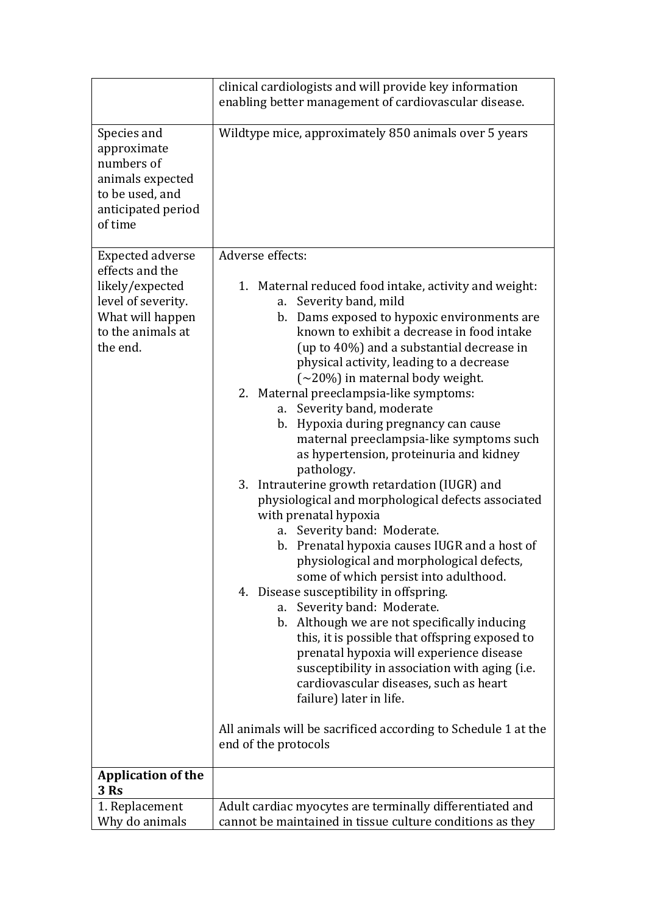|                                                                                                                                          | clinical cardiologists and will provide key information                                                                                                                                                                                                                                                                                                                                                                                                                                                                                                                                                                                                                                                                                                                                                                                                                                                                                                                                                                                                                                                                                                                                                                                                                                                                |  |  |
|------------------------------------------------------------------------------------------------------------------------------------------|------------------------------------------------------------------------------------------------------------------------------------------------------------------------------------------------------------------------------------------------------------------------------------------------------------------------------------------------------------------------------------------------------------------------------------------------------------------------------------------------------------------------------------------------------------------------------------------------------------------------------------------------------------------------------------------------------------------------------------------------------------------------------------------------------------------------------------------------------------------------------------------------------------------------------------------------------------------------------------------------------------------------------------------------------------------------------------------------------------------------------------------------------------------------------------------------------------------------------------------------------------------------------------------------------------------------|--|--|
|                                                                                                                                          | enabling better management of cardiovascular disease.                                                                                                                                                                                                                                                                                                                                                                                                                                                                                                                                                                                                                                                                                                                                                                                                                                                                                                                                                                                                                                                                                                                                                                                                                                                                  |  |  |
| Species and<br>approximate<br>numbers of<br>animals expected<br>to be used, and<br>anticipated period<br>of time                         | Wildtype mice, approximately 850 animals over 5 years                                                                                                                                                                                                                                                                                                                                                                                                                                                                                                                                                                                                                                                                                                                                                                                                                                                                                                                                                                                                                                                                                                                                                                                                                                                                  |  |  |
| <b>Expected adverse</b><br>effects and the<br>likely/expected<br>level of severity.<br>What will happen<br>to the animals at<br>the end. | Adverse effects:<br>1. Maternal reduced food intake, activity and weight:<br>Severity band, mild<br>a.<br>b. Dams exposed to hypoxic environments are<br>known to exhibit a decrease in food intake<br>(up to 40%) and a substantial decrease in<br>physical activity, leading to a decrease<br>$(\sim 20\%)$ in maternal body weight.<br>2. Maternal preeclampsia-like symptoms:<br>Severity band, moderate<br>a.<br>Hypoxia during pregnancy can cause<br>b.<br>maternal preeclampsia-like symptoms such<br>as hypertension, proteinuria and kidney<br>pathology.<br>3. Intrauterine growth retardation (IUGR) and<br>physiological and morphological defects associated<br>with prenatal hypoxia<br>Severity band: Moderate.<br>a.<br>b. Prenatal hypoxia causes IUGR and a host of<br>physiological and morphological defects,<br>some of which persist into adulthood.<br>4. Disease susceptibility in offspring.<br>Severity band: Moderate.<br>a.<br>b. Although we are not specifically inducing<br>this, it is possible that offspring exposed to<br>prenatal hypoxia will experience disease<br>susceptibility in association with aging (i.e.<br>cardiovascular diseases, such as heart<br>failure) later in life.<br>All animals will be sacrificed according to Schedule 1 at the<br>end of the protocols |  |  |
| <b>Application of the</b>                                                                                                                |                                                                                                                                                                                                                                                                                                                                                                                                                                                                                                                                                                                                                                                                                                                                                                                                                                                                                                                                                                                                                                                                                                                                                                                                                                                                                                                        |  |  |
| 3 Rs                                                                                                                                     |                                                                                                                                                                                                                                                                                                                                                                                                                                                                                                                                                                                                                                                                                                                                                                                                                                                                                                                                                                                                                                                                                                                                                                                                                                                                                                                        |  |  |
| 1. Replacement<br>Why do animals                                                                                                         | Adult cardiac myocytes are terminally differentiated and<br>cannot be maintained in tissue culture conditions as they                                                                                                                                                                                                                                                                                                                                                                                                                                                                                                                                                                                                                                                                                                                                                                                                                                                                                                                                                                                                                                                                                                                                                                                                  |  |  |
|                                                                                                                                          |                                                                                                                                                                                                                                                                                                                                                                                                                                                                                                                                                                                                                                                                                                                                                                                                                                                                                                                                                                                                                                                                                                                                                                                                                                                                                                                        |  |  |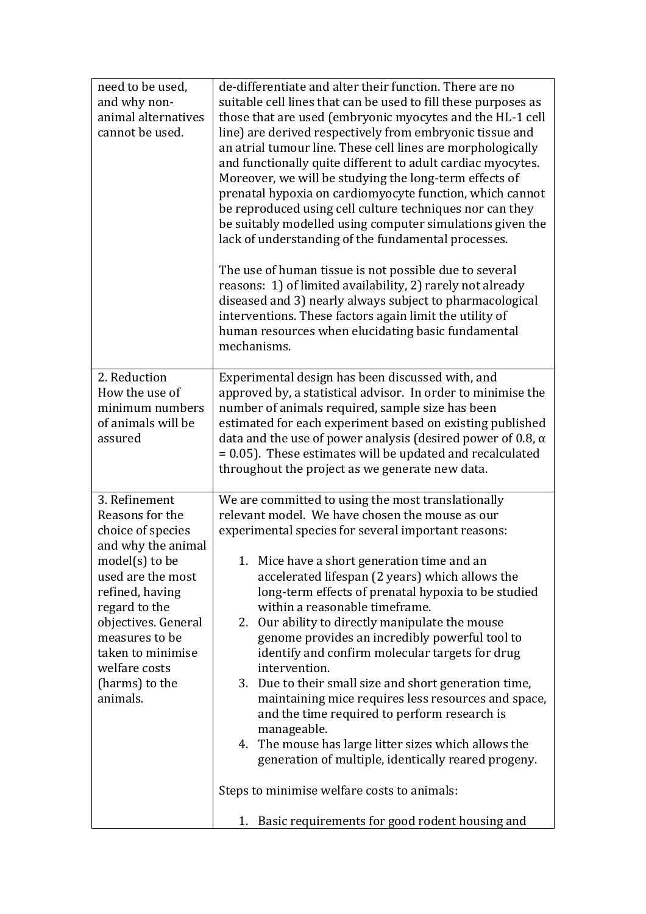| need to be used,                        | de-differentiate and alter their function. There are no                                                                |  |  |
|-----------------------------------------|------------------------------------------------------------------------------------------------------------------------|--|--|
| and why non-                            | suitable cell lines that can be used to fill these purposes as                                                         |  |  |
| animal alternatives                     | those that are used (embryonic myocytes and the HL-1 cell                                                              |  |  |
| cannot be used.                         | line) are derived respectively from embryonic tissue and                                                               |  |  |
|                                         | an atrial tumour line. These cell lines are morphologically                                                            |  |  |
|                                         | and functionally quite different to adult cardiac myocytes.                                                            |  |  |
|                                         | Moreover, we will be studying the long-term effects of                                                                 |  |  |
|                                         | prenatal hypoxia on cardiomyocyte function, which cannot                                                               |  |  |
|                                         | be reproduced using cell culture techniques nor can they                                                               |  |  |
|                                         |                                                                                                                        |  |  |
|                                         | be suitably modelled using computer simulations given the                                                              |  |  |
|                                         | lack of understanding of the fundamental processes.                                                                    |  |  |
|                                         | The use of human tissue is not possible due to several                                                                 |  |  |
|                                         | reasons: 1) of limited availability, 2) rarely not already<br>diseased and 3) nearly always subject to pharmacological |  |  |
|                                         |                                                                                                                        |  |  |
|                                         | interventions. These factors again limit the utility of                                                                |  |  |
|                                         | human resources when elucidating basic fundamental                                                                     |  |  |
|                                         | mechanisms.                                                                                                            |  |  |
|                                         |                                                                                                                        |  |  |
| 2. Reduction                            | Experimental design has been discussed with, and                                                                       |  |  |
| How the use of                          | approved by, a statistical advisor. In order to minimise the                                                           |  |  |
| minimum numbers                         | number of animals required, sample size has been                                                                       |  |  |
| of animals will be                      | estimated for each experiment based on existing published                                                              |  |  |
| assured                                 | data and the use of power analysis (desired power of 0.8, $\alpha$                                                     |  |  |
|                                         | $= 0.05$ ). These estimates will be updated and recalculated                                                           |  |  |
|                                         | throughout the project as we generate new data.                                                                        |  |  |
|                                         |                                                                                                                        |  |  |
| 3. Refinement                           | We are committed to using the most translationally                                                                     |  |  |
| Reasons for the                         | relevant model. We have chosen the mouse as our                                                                        |  |  |
| choice of species<br>and why the animal | experimental species for several important reasons:                                                                    |  |  |
| $model(s)$ to be                        | 1. Mice have a short generation time and an                                                                            |  |  |
| used are the most                       | accelerated lifespan (2 years) which allows the<br>long-term effects of prenatal hypoxia to be studied                 |  |  |
| refined, having                         |                                                                                                                        |  |  |
| regard to the                           | within a reasonable timeframe.                                                                                         |  |  |
| objectives. General                     | 2. Our ability to directly manipulate the mouse                                                                        |  |  |
| measures to be                          | genome provides an incredibly powerful tool to                                                                         |  |  |
| taken to minimise                       | identify and confirm molecular targets for drug                                                                        |  |  |
| welfare costs                           | intervention.                                                                                                          |  |  |
| (harms) to the                          | 3. Due to their small size and short generation time,                                                                  |  |  |
| animals.                                | maintaining mice requires less resources and space,                                                                    |  |  |
|                                         | and the time required to perform research is                                                                           |  |  |
|                                         | manageable.                                                                                                            |  |  |
|                                         | The mouse has large litter sizes which allows the<br>4.                                                                |  |  |
|                                         | generation of multiple, identically reared progeny.                                                                    |  |  |
|                                         |                                                                                                                        |  |  |
|                                         | Steps to minimise welfare costs to animals:                                                                            |  |  |
|                                         | 1. Basic requirements for good rodent housing and                                                                      |  |  |